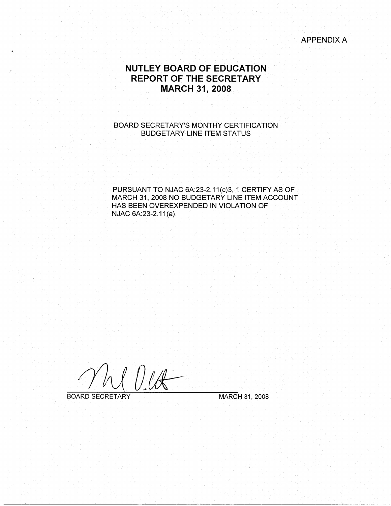# APPENDIX A

# **NUTLEY BOARD OF EDUCATION REPORT OF THE SECRETARY MARCH 31, 2008**

# BOARD SECRETARY'S MONTHY CERTIFICATION BUDGETARY LINE ITEM STATUS

PURSUANT TO NJAC 6A:23-2.11(c)3, 1 CERTIFY AS OF MARCH 31, 2008 NO BUDGETARY LINE ITEM ACCOUNT HAS BEEN OVEREXPENDED IN VIOLATION OF NJAC 6A:23-2.11(a).

BOARD SECRETARY MARCH 31, 2008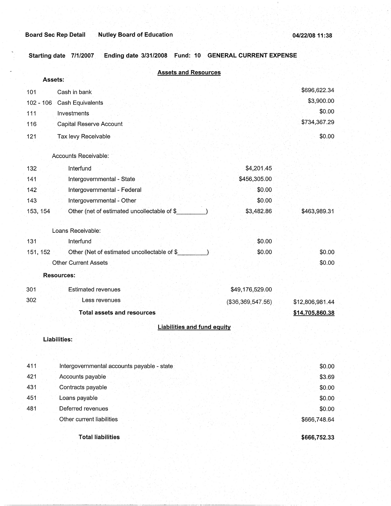**Starting date 7/1/2007 Ending date 3/31/2008 Fund: 10 GENERAL CURRENT EXPENSE** 

| <b>Assets and Resources</b>                              |                      |                 |
|----------------------------------------------------------|----------------------|-----------------|
| Assets:                                                  |                      |                 |
| Cash in bank<br>101                                      |                      | \$696,622.34    |
| 102 - 106 Cash Equivalents                               |                      | \$3,900.00      |
| 111<br>Investments                                       |                      | \$0.00          |
| 116<br>Capital Reserve Account                           |                      | \$734,367.29    |
| Tax levy Receivable<br>121                               |                      | \$0.00          |
| Accounts Receivable:                                     |                      |                 |
| 132<br>Interfund                                         | \$4,201.45           |                 |
| Intergovernmental - State<br>141                         | \$456,305.00         |                 |
| 142<br>Intergovernmental - Federal                       | \$0.00               |                 |
| Intergovernmental - Other<br>143                         | \$0.00               |                 |
| 153, 154<br>Other (net of estimated uncollectable of \$  | \$3,482.86           | \$463,989.31    |
| Loans Receivable:                                        |                      |                 |
| 131<br>Interfund                                         | \$0.00               |                 |
| Other (Net of estimated uncollectable of \$_<br>151, 152 | \$0.00               | \$0.00          |
| <b>Other Current Assets</b>                              |                      | \$0.00          |
| <b>Resources:</b>                                        |                      |                 |
| 301<br><b>Estimated revenues</b>                         | \$49,176,529.00      |                 |
| 302<br>Less revenues                                     | ( \$36, 369, 547.56) | \$12,806,981.44 |
| <b>Total assets and resources</b>                        |                      | \$14,705,860.38 |
| <b>Liabilities and fund equity</b>                       |                      |                 |
| Liabilities:                                             |                      |                 |
|                                                          |                      |                 |
| 411<br>Intergovernmental accounts payable - state        |                      | \$0.00          |
| 421<br>Accounts payable                                  |                      | \$3.69          |
| 431<br>Contracts payable                                 |                      | \$0.00          |
| 451<br>Loans payable                                     |                      | \$0.00          |
| 481<br>Deferred revenues                                 |                      | \$0.00          |
| Other current liabilities                                |                      | \$666,748.64    |
| <b>Total liabilities</b>                                 |                      | \$666,752.33    |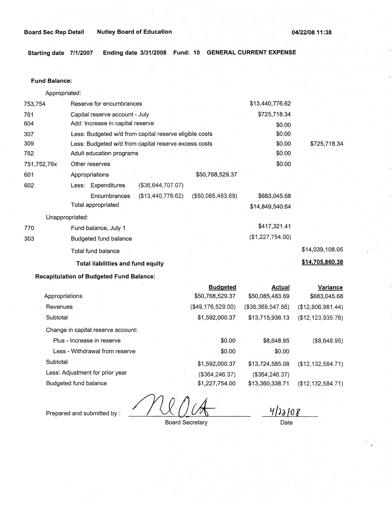**Starting date 7/1/2007 Ending date 3/31/2008. Fund: 10 GENERAL CURRENT EXPENSE** 

#### **Fund Balance:**

753,754 761 604 Appropriated: Reserve for encumbrances Capital reserve account - July Add: Increase in capital reserve 307 309 762 751,752,76x 601 Less: Budgeted w/d from capital reserve eligible costs Less: Budgeted w/d from capital reserve excess costs Adult education programs 602 770 303 Other reserves Appropriations Less: Expenditures (\$36,644,707.07) Encumbrances (\$13,440,776.62) Total appropriated Unappropriated: Fund balance, July 1 Budgeted fund balance Total fund balance **Total liabilities and fund equity**  \$50,768,529.37 (\$50,085,483.69) \$13,440,776.62 \$725,718.34 \$0.00 \$0.00 \$0.00 \$0.00 \$0.00 \$683,045.68 \$14,849,540.64 \$417,321.41 (\$1,227,754.00) \$725,718.34 \$14,039,108.05 **\$14,705,860.38** 

## **Recapitulation of Budgeted Fund Balance:**

|                                    | <b>Budgeted</b>   | Actual            | <b>Variance</b>     |
|------------------------------------|-------------------|-------------------|---------------------|
| Appropriations                     | \$50,768,529.37   | \$50,085,483.69   | \$683,045.68        |
| Revenues                           | (\$49,176,529.00) | (\$36,369,547.56) | (\$12,806,981.44)   |
| Subtotal                           | \$1,592,000.37    | \$13,715,936.13   | (\$12, 123, 935.76) |
| Change in capital reserve account: |                   |                   |                     |
| Plus - Increase in reserve         | \$0.00            | \$8,648.95        | (\$8,648.95)        |
| Less - Withdrawal from reserve     | \$0.00            | \$0.00            |                     |
| Subtotal                           | \$1,592,000.37    | \$13,724,585.08   | (\$12,132,584.71)   |
| Less: Adjustment for prior year    | (\$364, 246.37)   | (\$364, 246.37)   |                     |
| Budgeted fund balance              | \$1,227,754.00    | \$13,360,338.71   | (\$12, 132, 584.71) |

Prepared and submitted by :

 $4/22108$ 

Board Secretary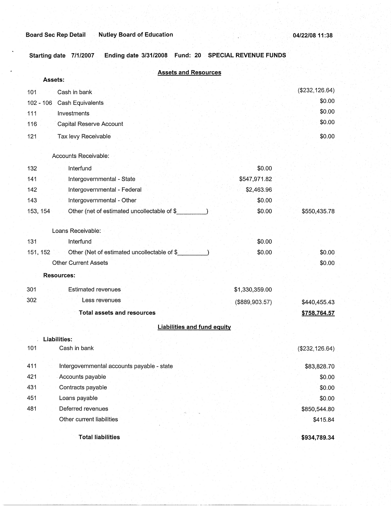**Starting date 7/1/2007 Ending date 3/31/2008 Fund: 20 SPECIAL REVENUE FUNDS** .

| <b>Assets and Resources</b>                             |                |                 |
|---------------------------------------------------------|----------------|-----------------|
| Assets:                                                 |                |                 |
| Cash in bank<br>101                                     |                | (\$232, 126.64) |
| $102 - 106$<br>Cash Equivalents                         |                | \$0.00          |
| 111<br>Investments                                      |                | \$0.00          |
| 116<br>Capital Reserve Account                          |                | \$0.00          |
| 121<br>Tax levy Receivable                              |                | \$0.00          |
| Accounts Receivable:                                    |                |                 |
| 132<br>Interfund                                        | \$0.00         |                 |
| Intergovernmental - State<br>141                        | \$547,971.82   |                 |
| 142<br>Intergovernmental - Federal                      | \$2,463.96     |                 |
| 143<br>Intergovernmental - Other                        | \$0.00         |                 |
| Other (net of estimated uncollectable of \$<br>153, 154 | \$0.00         | \$550,435.78    |
| Loans Receivable:                                       |                |                 |
| 131<br>Interfund                                        | \$0.00         |                 |
| Other (Net of estimated uncollectable of \$<br>151, 152 | \$0.00         | \$0.00          |
| <b>Other Current Assets</b>                             |                | \$0.00          |
| <b>Resources:</b>                                       |                |                 |
| <b>Estimated revenues</b><br>301                        | \$1,330,359.00 |                 |
| 302<br>Less revenues                                    | (\$889,903.57) | \$440,455.43    |
| <b>Total assets and resources</b>                       |                | \$758,764.57    |
| <b>Liabilities and fund equity</b>                      |                |                 |
| Liabilities:                                            |                |                 |
| Cash in bank<br>101                                     |                | (\$232, 126.64) |
| 411<br>Intergovernmental accounts payable - state       |                | \$83,828.70     |
| 421<br>Accounts payable                                 |                | \$0.00          |
| 431<br>Contracts payable                                |                | \$0.00          |
| 451<br>Loans payable                                    |                | \$0.00          |
| 481<br>Deferred revenues                                |                | \$850,544.80    |
| Other current liabilities                               |                | \$415.84        |
| <b>Total liabilities</b>                                |                | \$934,789.34    |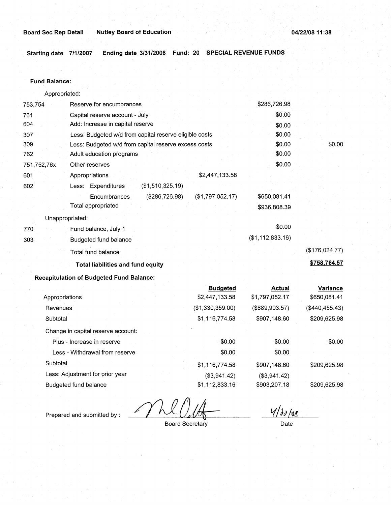**Starting date 7/1/2007 Ending date 3/31/2008 Fund: 20 SPECIAL REVENUE FUNDS** 

## **Fund Balance:**

Appropriated:

| 753,754         | Reserve for encumbrances                               |                  | \$286,726.98     |                 |
|-----------------|--------------------------------------------------------|------------------|------------------|-----------------|
| 761             | Capital reserve account - July                         |                  | \$0.00           |                 |
| 604             | Add: Increase in capital reserve                       |                  | \$0.00           |                 |
| 307             | Less: Budgeted w/d from capital reserve eligible costs |                  | \$0.00           |                 |
| 309             | Less: Budgeted w/d from capital reserve excess costs   |                  | \$0.00           | \$0.00          |
| 762             | Adult education programs                               |                  | \$0.00           |                 |
| 751,752,76x     | Other reserves                                         |                  | \$0.00           |                 |
| 601             | Appropriations                                         | \$2,447,133.58   |                  |                 |
| 602             | (\$1,510,325.19)<br>Less: Expenditures                 |                  |                  |                 |
|                 | (\$286,726.98)<br>Encumbrances                         | (\$1,797,052.17) | \$650,081.41     |                 |
|                 | Total appropriated                                     |                  | \$936,808.39     |                 |
| Unappropriated: |                                                        |                  |                  |                 |
| 770             | Fund balance, July 1                                   |                  | \$0.00           |                 |
| 303             | Budgeted fund balance                                  |                  | (\$1,112,833.16) |                 |
|                 | Total fund balance                                     |                  |                  | (\$176,024.77)  |
|                 | Total liabilities and fund equity                      |                  |                  | \$758,764.57    |
|                 | <b>Recapitulation of Budgeted Fund Balance:</b>        |                  |                  |                 |
|                 |                                                        | <b>Budgeted</b>  | Actual           | <b>Variance</b> |
| Appropriations  |                                                        | \$2,447,133.58   | \$1,797,052.17   | \$650,081.41    |

| Appropriations                     | \$2.447.133.58   | 31.191.052.11  | \$650,081.41   |
|------------------------------------|------------------|----------------|----------------|
| Revenues                           | (\$1,330,359.00) | (\$889,903.57) | (\$440,455.43) |
| Subtotal                           | \$1,116,774.58   | \$907,148.60   | \$209,625.98   |
| Change in capital reserve account: |                  |                |                |
| Plus - Increase in reserve         | \$0.00           | \$0.00         | \$0.00         |
| Less - Withdrawal from reserve     | \$0.00           | \$0.00         |                |
| Subtotal                           | \$1,116,774.58   | \$907,148.60   | \$209,625.98   |
| Less: Adjustment for prior year    | (\$3,941.42)     | (\$3,941.42)   |                |
| Budgeted fund balance              | \$1,112,833.16   | \$903,207.18   | \$209,625.98   |

Prepared and submitted by :

 $4/30/08$ 

Board Secretary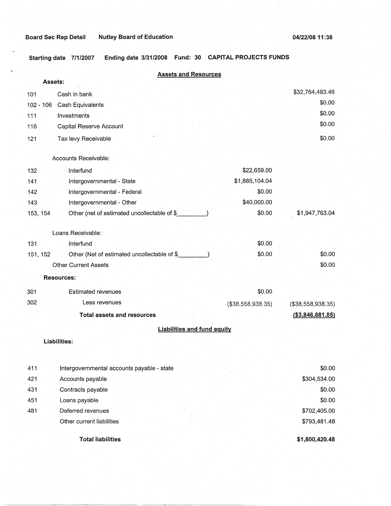**Starting date 7/1/2007 Ending date 3/31/2008 Fund: 30 CAPITAL PROJECTS FUNDS** 

|           | <b>Assets and Resources</b>                 |                   |                     |
|-----------|---------------------------------------------|-------------------|---------------------|
|           | Assets:                                     |                   | \$32,764,493.46     |
| 101       | Cash in bank                                |                   | \$0.00              |
| 102 - 106 | Cash Equivalents                            |                   | \$0.00              |
| 111       | Investments                                 |                   | \$0.00              |
| 116       | Capital Reserve Account                     |                   |                     |
| 121       | Tax levy Receivable                         |                   | \$0.00              |
|           | Accounts Receivable:                        |                   |                     |
| 132       | Interfund                                   | \$22,659.00       |                     |
| 141       | Intergovernmental - State                   | \$1,885,104.04    |                     |
| 142       | Intergovernmental - Federal                 | \$0.00            |                     |
| 143       | Intergovernmental - Other                   | \$40,000.00       |                     |
| 153, 154  | Other (net of estimated uncollectable of \$ | \$0.00            | \$1,947,763.04      |
|           | Loans Receivable:                           |                   |                     |
| 131       | Interfund                                   | \$0.00            |                     |
| 151, 152  | Other (Net of estimated uncollectable of \$ | \$0.00            | \$0.00              |
|           | <b>Other Current Assets</b>                 |                   | \$0.00              |
|           | <b>Resources:</b>                           |                   |                     |
| 301       | <b>Estimated revenues</b>                   | \$0.00            |                     |
| 302       | Less revenues                               | (\$38,558,938.35) | (\$38,558,938.35)   |
|           | <b>Total assets and resources</b>           |                   | $($ \$3,846,681.85) |
|           | <b>Liabilities and fund equity</b>          |                   |                     |
|           | <b>Liabilities:</b>                         |                   |                     |
|           |                                             |                   |                     |
| 411       | Intergovernmental accounts payable - state  |                   | \$0.00              |
| 421       | Accounts payable                            |                   | \$304,534.00        |
| 431       | Contracts payable                           |                   | \$0.00              |
| 451       | Loans payable                               |                   | \$0.00              |
| 481       | Deferred revenues                           |                   | \$702,405.00        |
|           | Other current liabilities                   |                   | \$793,481.48        |
|           | <b>Total liabilities</b>                    |                   | \$1,800,420.48      |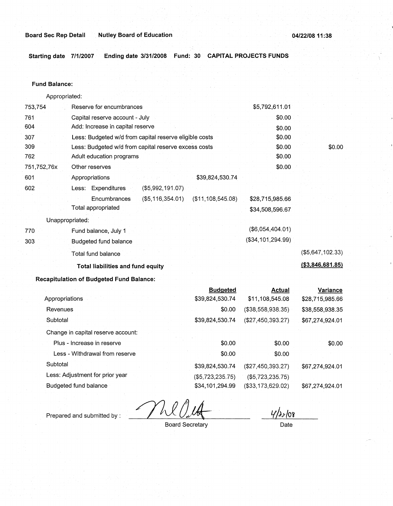**Starting date 7/1/2007 Ending date 3/31/2008 Fund: 30 CAPITAL PROJECTS FUNDS** 

#### **Fund Balance:**

753,754 761 604 Appropriated: Reserve for encumbrances Capital reserve account - July Add: Increase in capital reserve 307 309 762 751,752,76x 601 Less: Budgeted w/d from capital reserve eligible costs Less: Budgeted w/d from capital reserve excess costs Adult education programs 602 770 303 Other reserves Appropriations Less: Expenditures **Encumbrances** Total appropriated Unappropriated: Fund balance, July 1 Budgeted fund balance Total fund balance \$39,824,530.74 (\$5,992,191.07) (\$5,116,354.01) (\$11,108,545.08) **Total liabilities and fund equity Recapitulation of Budgeted Fund Balance:**  Appropriations Revenues **Subtotal Budgeted**  \$39,824,530.74 \$0.00 \$39,824,530.74 \$5,792,611.01 \$0.00 \$0.00 \$0.00 \$0.00 \$0.00 \$0.00 \$28,715,985.66 \$34,508,596.67 (\$6,054,404.01) (\$34,101,294.99) **Actual**  \$11,108,545.08 (\$38,558,938.35) (\$27,450,393.27) \$0.00 (\$5,647,102.33) **(\$3,846,681.85) Variance**  \$28,715,985.66 \$38,558,938.35 \$67,274,924.01

Change in capital reserve account:

| Plus - Increase in reserve      | \$0.00              | \$0.00              | \$0.00          |
|---------------------------------|---------------------|---------------------|-----------------|
| Less - Withdrawal from reserve  | \$0.00              | \$0.00              |                 |
| Subtotal                        | \$39,824,530.74     | (\$27,450,393.27)   | \$67,274,924.01 |
| Less: Adjustment for prior year | $($ \$5,723,235,75) | $($ \$5,723,235,75) |                 |
| Budgeted fund balance           | \$34,101,294.99     | (\$33,173,629.02)   | \$67,274,924.01 |

Prepared and submitted by :

4/2>108

Board Secretary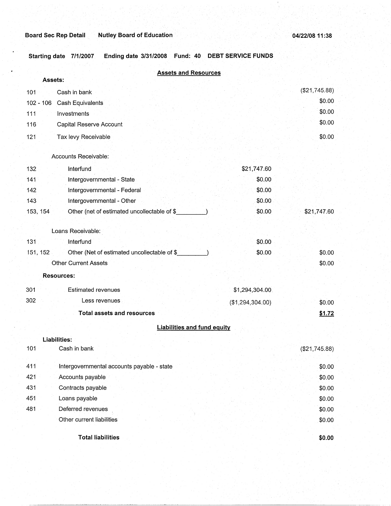**Starting date 7/1/2007 Ending date 3/31/2008 Fund: 40 DEBT SERVICE FUNDS** 

|             | <b>Assets and Resources</b><br>Assets:      |                  |               |
|-------------|---------------------------------------------|------------------|---------------|
| 101         | Cash in bank                                |                  | (\$21,745.88) |
| $102 - 106$ | <b>Cash Equivalents</b>                     |                  | \$0.00        |
| 111         | Investments                                 |                  | \$0.00        |
| 116         | Capital Reserve Account                     |                  | \$0.00        |
| 121         | Tax levy Receivable                         |                  | \$0.00        |
|             | Accounts Receivable:                        |                  |               |
| 132         | Interfund                                   | \$21,747.60      |               |
| 141         | Intergovernmental - State                   | \$0.00           |               |
| 142         | Intergovernmental - Federal                 | \$0.00           |               |
| 143         | Intergovernmental - Other                   | \$0.00           |               |
| 153, 154    | Other (net of estimated uncollectable of \$ | \$0.00           | \$21,747.60   |
|             | Loans Receivable:                           |                  |               |
| 131         | Interfund                                   | \$0.00           |               |
| 151, 152    | Other (Net of estimated uncollectable of \$ | \$0.00           | \$0.00        |
|             | <b>Other Current Assets</b>                 |                  | \$0.00        |
|             | <b>Resources:</b>                           |                  |               |
| 301         | Estimated revenues                          | \$1,294,304.00   |               |
| 302         | Less revenues                               | (\$1,294,304.00) | \$0.00        |
|             | <b>Total assets and resources</b>           |                  | \$1.72        |
|             | <b>Liabilities and fund equity</b>          |                  |               |
|             | <b>Liabilities:</b>                         |                  |               |
| 101         | Cash in bank                                |                  | (\$21,745.88) |
| 411         | Intergovernmental accounts payable - state  |                  | \$0.00        |
| 421         | Accounts payable                            |                  | \$0.00        |
| 431         | Contracts payable                           |                  | \$0.00        |
| 451         | Loans payable                               |                  | \$0.00        |
| 481         | Deferred revenues                           |                  | \$0.00        |
|             | Other current liabilities                   |                  | \$0.00        |
|             | <b>Total liabilities</b>                    |                  | \$0.00        |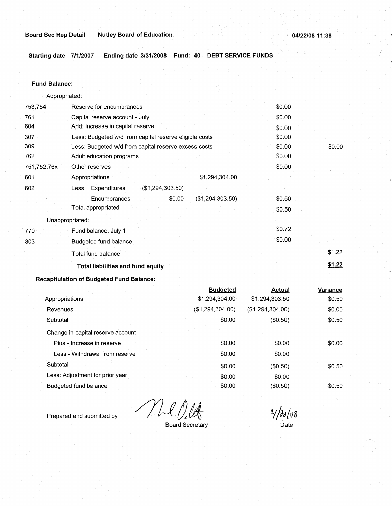**Starting date 7/1/2007 Ending date 3/31/2008 Fund: 40 DEBT SERVICE FUNDS** 

## **Fund Balance:**

| Appropriated: |                                                        |        |        |
|---------------|--------------------------------------------------------|--------|--------|
| 753,754       | Reserve for encumbrances                               | \$0.00 |        |
| 761           | Capital reserve account - July                         | \$0.00 |        |
| 604           | Add: Increase in capital reserve                       | \$0.00 |        |
| 307           | Less: Budgeted w/d from capital reserve eligible costs | \$0.00 |        |
| 309           | Less: Budgeted w/d from capital reserve excess costs   | \$0.00 | \$0.00 |
| 762           | Adult education programs                               | \$0.00 |        |
| 751,752,76x   | Other reserves                                         | \$0.00 |        |
| 601           | \$1,294,304.00<br>Appropriations                       |        |        |
| 602           | Less: Expenditures<br>(\$1,294,303.50)                 |        |        |
|               | (\$1,294,303.50)<br>Encumbrances<br>\$0.00             | \$0.50 |        |
|               | Total appropriated                                     | \$0.50 |        |
|               | Unappropriated:                                        |        |        |
| 770           | Fund balance, July 1                                   | \$0.72 |        |
| 303           | Budgeted fund balance                                  | \$0.00 |        |
|               | Total fund balance                                     |        | \$1.22 |
|               | <b>Total liabilities and fund equity</b>               |        | \$1.22 |
|               |                                                        |        |        |

# **Recapitulation of Budgeted Fund Balance:**

|                                    | <b>Budgeted</b>  | Actual           | Variance |
|------------------------------------|------------------|------------------|----------|
| Appropriations                     | \$1,294,304.00   | \$1,294,303.50   | \$0.50   |
| Revenues                           | (\$1,294,304.00) | (\$1,294,304.00) | \$0.00   |
| Subtotal                           | \$0.00           | (\$0.50)         | \$0.50   |
| Change in capital reserve account: |                  |                  |          |
| Plus - Increase in reserve         | \$0.00           | \$0.00           | \$0.00   |
| Less - Withdrawal from reserve     | \$0.00           | \$0.00           |          |
| Subtotal                           | \$0.00           | (\$0.50)         | \$0.50   |
| Less: Adjustment for prior year    | \$0.00           | \$0.00           |          |
| Budgeted fund balance              | \$0.00           | (\$0.50)         | \$0.50   |
|                                    |                  |                  |          |

Prepared and submitted by :

 $\frac{1}{2}$ 

 $\frac{v}{\theta}$ *y*/*do[08* 

Board Secretary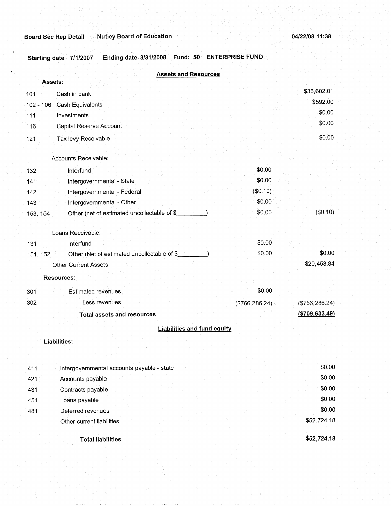**Starting date 7/1/2007 Ending date 3/31/2008 Fund: 50 ENTERPRISE FUND** 

| <b>Assets and Resources</b>                              |                 |                  |
|----------------------------------------------------------|-----------------|------------------|
| Assets:                                                  |                 |                  |
| 101<br>Cash in bank                                      |                 | \$35,602.01      |
| Cash Equivalents<br>102 - 106                            |                 | \$592.00         |
| 111<br>Investments                                       |                 | \$0.00           |
| Capital Reserve Account<br>116                           |                 | \$0.00           |
| Tax levy Receivable<br>121                               |                 | \$0.00           |
| Accounts Receivable:                                     |                 |                  |
| Interfund<br>132                                         | \$0.00          |                  |
| Intergovernmental - State<br>141                         | \$0.00          |                  |
| Intergovernmental - Federal<br>142                       | (\$0.10)        |                  |
| Intergovernmental - Other<br>143                         | \$0.00          |                  |
| Other (net of estimated uncollectable of \$_<br>153, 154 | \$0.00          | (\$0.10)         |
| Loans Receivable:                                        |                 |                  |
| Interfund<br>131                                         | \$0.00          |                  |
| Other (Net of estimated uncollectable of \$<br>151, 152  | \$0.00          | \$0.00           |
| <b>Other Current Assets</b>                              |                 | \$20,458.84      |
| <b>Resources:</b>                                        |                 |                  |
| <b>Estimated revenues</b><br>301                         | \$0.00          |                  |
| 302<br>Less revenues                                     | (\$766, 286.24) | (\$766, 286.24)  |
| <b>Total assets and resources</b>                        |                 | ( \$709, 633.49) |
| <b>Liabilities and fund equity</b>                       |                 |                  |
| <b>Liabilities:</b>                                      |                 |                  |
| Intergovernmental accounts payable - state<br>411        |                 | \$0.00           |
| Accounts payable<br>421                                  |                 | \$0.00           |
| Contracts payable<br>431                                 |                 | \$0.00           |
|                                                          |                 | \$0.00           |
| Loans payable<br>451<br>Deferred revenues                |                 | \$0.00           |
| 481<br>Other current liabilities                         |                 | \$52,724.18      |
| <b>Total liabilities</b>                                 |                 | \$52,724.18      |

**Total liabilities**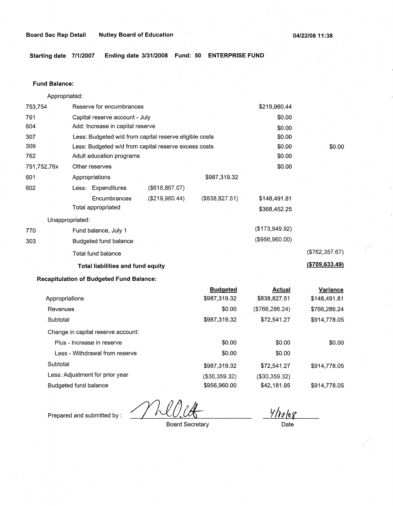**Starting date 7/1/2007 Ending date 3/31/2008 Fund: 50 ENTERPRISE FUND** 

#### **Fund Balance:**

753,754 761 604 Appropriated: Reserve for encumbrances Capital reserve account - July Add: Increase in capital reserve 307 309 762 751,752,76x 601 Less: Budgeted w/d from capital reserve eligible costs Less: Budgeted w/d from capital reserve excess costs Adult education programs 602 770 303 Other reserves Appropriations Less: Expenditures Encumbrances Total appropriated Unappropriated: Fund balance, July 1 Budgeted fund balance Total fund balance (\$618,867.07) (\$219,960.44) **Total liabilities and fund equity Recapitulation of Budgeted Fund Balance:**  Appropriations Revenues **Subtotal** Change in capital reserve account: Plus - Increase in reserve Less - Withdrawal from reserve **Subtotal** Less: Adjustment for prior year \$987,319.32 (\$838,827.51) **Budgeted**  \$987,319.32 \$0.00 \$987,319.32 \$0.00 \$0.00 \$987,319.32 (\$30,359.32) \$219,960.44 \$0.00 \$0.00 \$0.00 \$0.00 \$0.00 \$0.00 \$148,491.81 \$368,452.25 (\$173,849.92) (\$956,960.00) **Actual**  \$838,827.51 (\$766,286.24) \$72,541.27 \$0.00 \$0.00 \$72,541.27 (\$30,359.32) \$0.00 (\$762,357.67) **(\$709,633.49) Variance**  \$148,491.81 \$766,286.24 \$914,778.05 \$0.00 \$914,778.05

Budgeted fund balance

Prepared and submitted by :

<u>Y/rolog</u>

\$42,181.95

Board Secretary

\$956,960.00

Date

\$914,778.05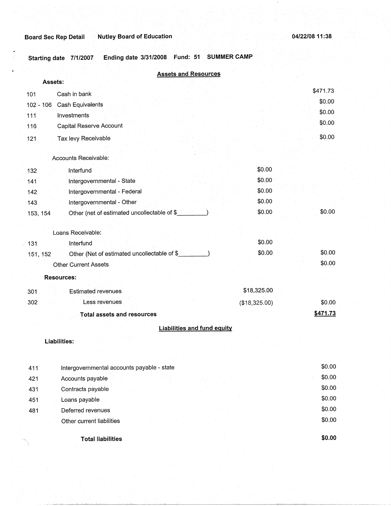481

Deferred revenues Other current liabilities \$0.00 \$0.00

**Starting date 7/1/2007 Ending date 3/31/2008 Fund: 51 SUMMER CAMP** 

| <b>Assets and Resources</b>                              |               |          |
|----------------------------------------------------------|---------------|----------|
| Assets:                                                  |               |          |
| Cash in bank<br>101                                      |               | \$471.73 |
| Cash Equivalents<br>$102 - 106$                          |               | \$0.00   |
| 111<br>Investments                                       |               | \$0.00   |
| Capital Reserve Account<br>116                           |               | \$0.00   |
| Tax levy Receivable<br>121                               |               | \$0.00   |
|                                                          |               |          |
| Accounts Receivable:                                     |               |          |
| 132<br>Interfund                                         | \$0.00        |          |
| Intergovernmental - State<br>141                         | \$0.00        |          |
| Intergovernmental - Federal<br>142                       | \$0.00        |          |
| Intergovernmental - Other<br>143                         | \$0.00        |          |
| Other (net of estimated uncollectable of \$<br>153, 154  | \$0.00        | \$0.00   |
|                                                          |               |          |
| Loans Receivable:                                        |               |          |
| 131<br>Interfund                                         | \$0.00        |          |
| Other (Net of estimated uncollectable of \$_<br>151, 152 | \$0.00        | \$0.00   |
| <b>Other Current Assets</b>                              |               | \$0.00   |
| <b>Resources:</b>                                        |               |          |
| <b>Estimated revenues</b><br>301                         | \$18,325.00   |          |
| 302<br>Less revenues                                     | (\$18,325.00) | \$0.00   |
| <b>Total assets and resources</b>                        |               | \$471.73 |
| <b>Liabilities and fund equity</b>                       |               |          |
| <b>Liabilities:</b>                                      |               |          |
|                                                          |               |          |
| Intergovernmental accounts payable - state<br>411        |               | \$0.00   |
| 421<br>Accounts payable                                  |               | \$0.00   |
| Contracts payable<br>431                                 |               | \$0.00   |
| Loans payable<br>451                                     |               | \$0.00   |

**Total liabilities \$0.00**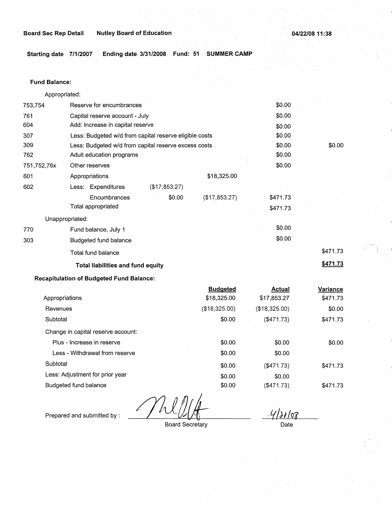**Starting date 7/1/2007 Ending date 3/31/2008 Fund: 51 SUMMER CAMP** 

#### **Fund Balance:**

753,754 761 604 Appropriated: Reserve for encumbrances Capital reserve account - July Add: Increase in capital reserve 307 309 762 751,752,76x 601 Less: Budgeted w/d from capital reserve eligible costs Less: Budgeted w/d from capital reserve excess costs Adult education programs 602 770 303 Other reserves Appropriations Less: Expenditures Encumbrances Total appropriated Unappropriated: Fund balance, July 1 Budgeted fund balance. Total fund balance (\$17,853.27) \$0.00 **Total liabilities and fund equity Recapitulation of Budgeted Fund Balance:**  Appropriations Revenues **Subtotal** Change in capital reserve account: Plus - Increase in reserve Less - Withdrawal from reserve . \$18,325.00 (\$17,853.27) **Budgeted**  \$18,325.00 (\$18,325.00) \$0.00 \$0.00 \$0.00 \$0.00 \$0.00 \$0.00 \$0.00 \$0.00 \$0.00 \$0.00 \$471.73 \$471.73 \$0.00 \$0.00 **Actual**  \$17,853.27 (\$18,325.00) (\$471.73) \$0.00 \$0.00 \$0.00 \$471.73 **\$471.73 Variance**  \$471.73 \$0.00 \$471.73 \$0.00

**Subtotal** Less: Adjustment for prior year Budgeted fund balance

Prepared and submitted by :

Board Secretary

\$0.00 \$0:00 \$0.00

· *ffi}tLo·g\_* 

\$471.73

\$471.73

Date

(\$471.73) \$0.00  $($ \$471.73 $)$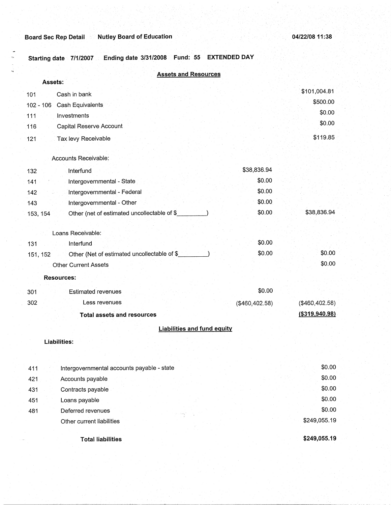**Starting date 7/1/2007 Ending date 3/31/2008 Fund: 55 EXTENDED DAY** 

| <b>Assets and Resources</b>                              |                |                  |
|----------------------------------------------------------|----------------|------------------|
| Assets:                                                  |                | \$101,004.81     |
| Cash in bank<br>101                                      |                | \$500.00         |
| Cash Equivalents<br>102 - 106                            |                | \$0.00           |
| Investments<br>111                                       |                | \$0.00           |
| Capital Reserve Account<br>116                           |                |                  |
| 121<br>Tax levy Receivable                               |                | \$119.85         |
|                                                          |                |                  |
| Accounts Receivable:                                     |                |                  |
| Interfund<br>132                                         | \$38,836.94    |                  |
| Intergovernmental - State<br>141                         | \$0.00         |                  |
| Intergovernmental - Federal<br>142                       | \$0.00         |                  |
| Intergovernmental - Other<br>143                         | \$0.00         |                  |
| Other (net of estimated uncollectable of \$<br>153, 154  | \$0.00         | \$38,836.94      |
|                                                          |                |                  |
| Loans Receivable:                                        |                |                  |
| Interfund<br>131                                         | \$0.00         |                  |
| Other (Net of estimated uncollectable of \$_<br>151, 152 | \$0.00         | \$0.00           |
| <b>Other Current Assets</b>                              |                | \$0.00           |
| <b>Resources:</b>                                        |                |                  |
| <b>Estimated revenues</b><br>301                         | \$0.00         |                  |
| 302<br>Less revenues                                     | (\$460,402.58) | (\$460,402.58)   |
| <b>Total assets and resources</b>                        |                | ( \$319, 940.98) |
| <b>Liabilities and fund equity</b>                       |                |                  |
|                                                          |                |                  |
| Liabilities:                                             |                |                  |
|                                                          |                |                  |
| Intergovernmental accounts payable - state<br>411        |                | \$0.00           |
| 421<br>Accounts payable                                  |                | \$0.00           |
| Contracts payable<br>431                                 |                | \$0.00           |
| Loans payable<br>451                                     |                | \$0.00           |
| Deferred revenues<br>481                                 |                | \$0.00           |
| Other current liabilities                                |                | \$249,055.19     |
|                                                          |                |                  |

**Total liabilities** 

**\$249,055.19**